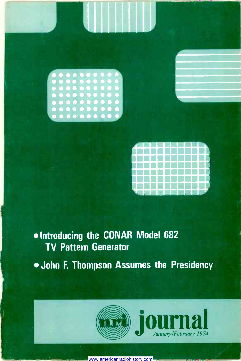



### Introducing the CONAR Model 682 TV Pattern Generator

. John F. Thompson Assumes the Presidency





www.americanradiohistory.com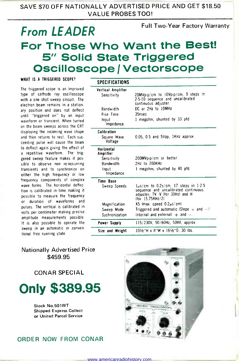SAVE \$70 OFF NATIONALLY ADVERTISED PRICE AND GET \$18.50 VALUE PROBES TOO!

## From LEADER For Those Who Want the Best!<br>5" Solid State Triggered Oscilloscope / Vectorscope Full Two -Year Factory Warranty

WHAT IS A TRIGGERED SCOPE?<br>The triggered scope is an improved type of cathode ray oscilloscope with a one shot sweep circuit. The electron beam remains in a station ary position and does not deflect until "triggered on" by an input waveform or transient. When turned on the beam sweeps across the CRT displaying the incoming wave shape and then returns to rest. Each suc ceeding pulse will cause the beam to deflect again giving the effect of a repetitive waveform. The triggered sweep feature makes it pos sible to observe non re -occurring transients and to synchronize on either the high frequency or low 'frequency components of complex wave forms. The horizontal deflection is calibrated in time making it possible to measure the frequency or duration of waveforms and pulses. The vertical is calibrated in volts per centimeter making precise amplitude measurements possible. It is also possible to operate the sweep in an automatic or .conven tional free running state.

| SPECIFICATIONS                    |                                                                                                                                           |
|-----------------------------------|-------------------------------------------------------------------------------------------------------------------------------------------|
| Vertical Amplifier<br>Sensitivity | 20MVp-p/cm to 10Vp-p/cm, 9 steps in<br>2-5-10 sequence and uncalibrated<br>continuous adjuster.                                           |
| Bandwidth                         | DC or 2Hz to 10MHz                                                                                                                        |
| Rise Time                         | 35nsec                                                                                                                                    |
| Input<br>Impedance                | 1 megohm, shunted by 33 pfd                                                                                                               |
| Calibration                       |                                                                                                                                           |
| Square Wave<br>Voltage            | 0.05, 0.5 and 5Vpp; 1KHz approx.                                                                                                          |
| Horizontal<br>Amplifier           |                                                                                                                                           |
| Sensitivity                       | 200MVp-p/cm or better                                                                                                                     |
| Bandwidth                         | 2Hz to 200KHz                                                                                                                             |
| Input<br>Impedance                | 1 megohm, shunted by 40 pfd                                                                                                               |
| Time Base                         |                                                                                                                                           |
| Sweep Speeds                      | $1\mu$ s/cm to 0.2s/cm, 17 steps in 1.2.5<br>sequence and uncalibrated continuous<br>adjuster; TV: V (for 30Hz) and H<br>(for 15.75KHz/2) |
| Magnification                     | $X5$ (max. speed $0.2 \mu s/cm$ )                                                                                                         |
| Sweep Mode                        | Triggered and automatic (Slope $+$ and $-$ )                                                                                              |
| Sychronization                    | Internal and external: $+$ and $-$ .                                                                                                      |
| Power Supply                      | 115/230V: 50/60Hz; 50VA, approx.                                                                                                          |
| Size and Weight                   | 10½"H x 8"W x 16½"D: 30 lbs.                                                                                                              |
|                                   |                                                                                                                                           |

### Nationally Advertised Price \$459.95

CONAR SPECIAL

Only \$389.95

Stock No.501WT Shipped Express Collect or United Parcel Service

### ORDER NOW FROM CONAR

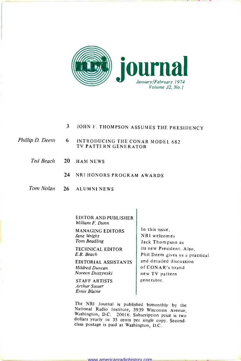

- 3 JOHN F. THOMPSON ASSUMES THE PRESIDENCY
- Phillip D. Deem 6 INTRODUCING THE CONAR MODEL 682 TV PATTERN GENERATOR
	- Ted Beach 20 HAM NEWS
		- 24 NRI HONORS PROGRAM AWARDS
	- Tom Nolan 26 ALUMNI NEWS

EDITOR AND PUBLISHER William F. Dunn

MANAGING EDITORS Jane Wright Tom Beadling

TECHNICAL EDITOR E.B. Beach

EDITORIAL ASSISTANTS Mildred Duncan Noreen Duszynski

STAFF ARTISTS Arthur Susser Ernie Blaine

In this issue, NRI welcomes Jack Thompson as its new President. Also, Phil Deem gives us a practical and detailed discussion of CONAR's brand new TV pattern generator.

The NRI Journal is published bimonthly by the National Radio Institute, 3939 Wisconsin Avenue, Washington, D.C. 20016. Subscription price is two dollars yearly or 35 cents per single copy. Secondclass postage is paid at Washington, D.C.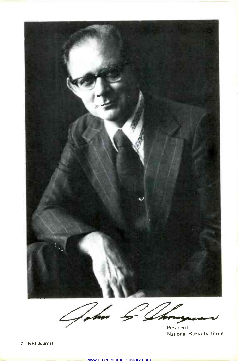

 $7/6$  $\mathcal{L}_{\ell}$ President

National Radio Institute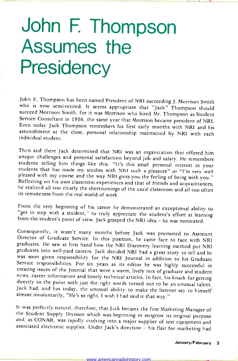# John F. Thompson Assumes the **Presidency**

John F. Thompson has been named President of NRI succeeding J. Morrison Smith who is now semi-retired. It seems appropriate that "Jack" Thompson should succeed Morrison Smith, for it was Morrison who hired Mr. Thompson as Service Consultant in 1956, the same year that Morrison became president of NRI.<br>Even today Jack Thompson remembers his first early months with NRI and his astonishment at the close, personal relationship maintained by NRI with each individual student.

Then and there Jack determined that NRI was an organization that offered him<br>unique challenges and personal satisfaction beyond job and salary. He remembers<br>students telling him things like this: "It's this small personal

From the very beginning of his career he demonstrated an exceptional ability to "get in step with a student," to truly appreciate the student's effort at learning from the student's point of view. Jack grasped the NRI idea

Consequently, it wasn't many months before Jack was promoted to Assistant<br>Director of Graduate Service. In this position, he came face to face with NRI<br>graduates. He saw at first hand how the NRI Discovery learning method creating issues of the Journal that were a warm, lively mix of graduate and student<br>news, career information and timely technical articles. In fact, his knack for getting directly to the point with just the right words turned out to be an unusual talent.<br>Jack had, and has today, the unusual ability to make the listener say to himself almost involuntarily, "He's so right, I wish I had said i

It was perfectly natural, therefore, that Jack became the first Marketing Manager of<br>the Student Supply Division which was beginning to outgrow its original purpose<br>and, as CONAR, was rapidly evolving into a major supplier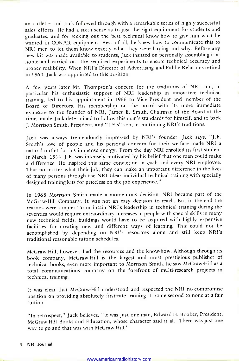an outlet - and Jack followed through with a remarkable series of highly successful sales efforts. He had a sixth sense as to just the right equipment for students and graduates, and for seeking out the best technical know-how to give him what he wanted in CONAR equipment. Best of all, he knew how to communicate this to NRI men to let them know exactly what they were buying and why. Before any new kit was made available to students, Jack insisted on personally assembling it at home and carried out the required experiments to ensure technical accuracy and proper realibility. When NRI's Director of Advertising and Public Relations retired in 1964, Jack was appointed to this position.

A few years later Mr. Thompson's concern for the traditions of NRI and, in particular his enthusiastic support of NRI leadership in innovative technical training, led to his appointment in 1966 to Vice President and member of the Board of Directors. His membership on the board with its more immediate exposure to the founder of NRI, James E. Smith, Chairman of the Board at the time, made Jack determined to follow this man's standards for himself, and to back J. Morrison Smith, President, and "J.E's" son, in continuing NRI's traditions.

Jack was always tremendously impressed by NRI's founder. Jack says, "J.E. Smith's love of people and his personal concern for their welfare made NRI a natural outlet for his immense energy. From the day NRI enrolled its first student in March, 1914, J.E. was intensely motivated by his belief that one man could make a difference. He inspired this same conviction in each and every NRI employee. That no matter what their job, they can make an important difference in the lives of many persons through the NRI Idea: individual technical training with specially designed training kits for priceless on the job experience."

In 1968 Morrison Smith made a momentous decision. NRI became part of the McGraw-Hill Company. It was not an easy decision to reach. But in the end the reasons were simple: To maintain NRI's leadership in technical training during the seventies would require extraordinary increases in people with special skills in many new technical fields, buildings would have to be acquired with highly expensive facilities for creating new and different ways of learning. This could not be accomplished by depending on NRI's resources alone and still keep NRI's traditional reasonable tuition schedules.

McGraw-Hill, however, had the resources and the know-how. Although through its book company, McGraw-Hill is the largest and most prestigious publisher of technical books, even more important to Morrison Smith, he saw McGraw-Hill as a total communications company on the forefront of multi -research projects in technical training.

It was clear that McGraw-Hill understood and respected the NRI no-compromise position on providing absolutely first-rate training at home second to none at a fair tuition.

"In retrospect," Jack believes, "it was just one man, Edward H. Booher, President, McGraw-Hill Books and Education, whose character said it all: There was just one way to go and that was with McGraw-Hill."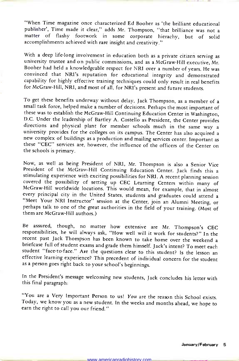"When Time magazine once characterized Ed Booher as 'the brilliant educational publisher', Time made it clear," adds Mr. Thompson, "that brilliance was not a matter of flashy footwork in some corporate hierachy, but of solid accomplishments achieved with rare insight and creativity."

With a deep life-long involvement in education both as a private citizen serving as university trustee and on public commissions, and as a McGraw-Hill executive, Mr. Booher had held a knowledgeable respect for NRI over a n convinced that NRI's reputation for educational integrity and demonstrated capability for highly effective training techniques could only result in real benefits for McGraw-Hill, NRI, and most of all, for NRI's present and future students.

To get these benefits underway without delay, Jack Thompson, as a member of a small task force, helped make a number of decisions. Perhaps the most important of these was to establish the McGraw-Hill Continuing Education Center in Washington, D.C. Under the leadership of Bartley A. Costello as President, the Center provides directions and physical plant for member schools much in the same way a university provides for the colleges on its campus. The Center has also acquired a new complex of buildings as a production and mailing services cente

Now, as well as being President of NRI, Mr. Thompson is also a Senior Vice stimulating experience with exciting possibilities for NRI. A recent planning session covered the possibility of setting up CEC Learning Centers within many of McGraw-Hill worldwide locations. This would mean, for example, that in almost "Meet Your NRI Instructor" session at the Center, join an Alumni Meeting, or<br>perhaps talk to one of the great authorities in the field of your training. (Most of them are McGraw-Hill authors.)

Be assured, though, no matter how extensive are Mr. Thompson's CEC responsibilities, he will always ask, "How well will it work for students?" In the briefcase full of student exams and grade them himself. Jack's intent? To meet each student "face-to-face." Are the questions clear to this student? Is the lesson an effective learning experience? This precedent of individ

In the President's message welcoming new students, Jack concludes his letter with this final paragraph:

"You are a Very Important Person to us! You are the reason this School exists. Today, we know you as a new student. In the weeks and months ahead, we hope to earn the right to call you our friend."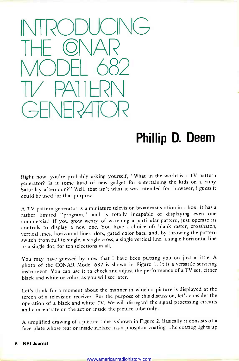

## Phillip D. Deem

Right now, you're probably asking yourself, "What in the world is a TV pattern generator? Is it some kind of new gadget for entertaining the kids on a rainy Saturday afternoon?" Well, that isn't what it was intended for; however, I guess it could be used for that purpose.

A TV pattern generator is a miniature television broadcast station in a box. It has a rather limited "program," and is totally incapable of displaying even one commercial! If you grow weary of watching a particular pattern, just operate its controls to display a new one. You have a choice of: blank raster, crosshatch, vertical lines, horizontal lines, dots, gated color bars, and, by throwing the pattern switch from full to single, a single cross, a single vertical line, a single horizontal line or a single dot, for ten selections in all.

You may have guessed by now that I have been putting you on-just a little. <sup>A</sup> photo of the CONAR Model 682 is shown in Figure 1. It is a versatile servicing instrument. You can use it to check and adjust the performance of a TV set, either black and white or color, as you will see later.

Let's think for a moment about the manner in which a picture is displayed at the screen of a television receiver. For the purpose of this discussion, let's consider the operation of a black -and -white TV. We will disregard the signal processing circuits and concentrate on the action inside the picture tube only.

A simplified drawing of a picture tube is shown in Figure 2. Basically it consists of <sup>a</sup>face plate whose rear or inside surface has a phosphor coating. The coating lights up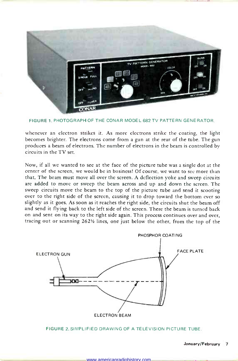

FIGURE 1. PHOTOGRAPH OF THE CONAR MODEL 682 TV PATTERN GENERATOR.

whenever an electron strikes it. As more electrons strike the coating, the light becomes brighter. The electrons come from a gun at the rear of the tube. The gun produces a beam of electrons. The number of electrons in the beam is controlled by circuits in the TV set.

Now, if all we wanted to see at the face of the picture tube was a single dot at the center of the screen, we would be in business! Of course, we want to see more than that. The beam must move all over the screen. A deflection yoke and sweep circuits are added to move or sweep the beam across and up and down the screen. The sweep circuits move the beam to the top of the picture tube and send it scooting over to the right side of the screen, causing it to drop toward the bottom ever so slightly as it goes. As soon as it reaches the right side, the circuits shut the beam off and send it flying back to the left side of the screen. There the beam is turned back on and sent on its way to the right side again. This process continues over and over, tracing out or scanning  $262\frac{1}{2}$  lines, one just below the other, from the top of the



FIGURE 2. SIMPLIFIED DRAWING OF A TELEVISION PICTURE TUBE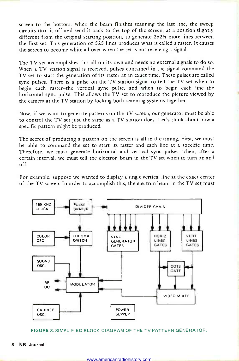screen to the bottom. When the beam finishes scanning the last line, the sweep circuits turn it off and send it back to the top of the screen, at a position slightly different from the original starting position, to generate  $262\frac{1}{2}$  more lines between the first set. This generation of 525 lines produces what is called a raster. It causes the screen to become white all over when the set is not receiving a signal.

The TV set accomplishes this all on its own and needs no external signals to do so. When a TV station signal is received, pulses contained in the signal command the TV set to start the generation of its raster at an exact time. These pulses are called sync pulses. There is a pulse on the TV station signal to tell the TV set when to begin each raster-the vertical sync pulse, and when to begin each line-the horizontal sync pulse. This allows the TV set to reproduce the picture viewed by the camera at the TV station by locking both scanning systems together.

Now, if we want to generate patterns on the TV screen, our generator must be able to control the TV set just the same as a TV station does. Let's think about how a specific pattern might be produced.

The secret of producing a pattern on the screen is all in the timing. First, we must be able to command the set to start its raster and each line at a specific time. Therefore, we must generate horizontal and vertical sync pulses. Then, after a certain interval, we must tell the electron beam in the TV set when to turn on and off.

For example, suppose we wanted to display a single vertical line at the exact center of the TV screen. In order to accomplish this, the electron beam in the TV set must



FIGURE 3. SIMPLIFIED BLOCK DIAGRAM OF THE TV PATTERN GENERATOR.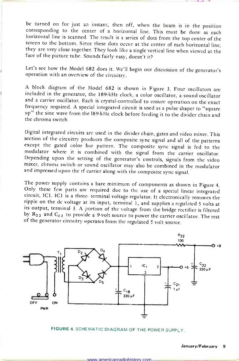be turned on for just an instant, then off, when the beam is in the position<br>corresponding to the center of a horizontal line. This must be done as each<br>horizontal line is scanned. The result is a series of dots from the t face of the picture tube. Sounds fairly easy, doesn't it?

Let's see how the Model 682 does it. We'll begin our discussion of the generator's operation with an overview of the circuitry.

<sup>A</sup>block diagram of the Model 682 is shown in Figure 3. Four oscillators are included in the generator, the 189 -kHz clock, a color oscillator, a sound oscillator and a carrier oscillator. Each is crystal-controlled to ensure operation on the exact frequency required. A special integrated circuit is used as a pulse shaper to "square up" the sine wave from the 189 kHz clock before feeding it to the divider chain and the chroma switch.

Digital integrated circuits are used in the divider chain, gates and video mixer. This except the gated color bar pattern. The composite sync signal is fed to the modulator where it is combined with the signal from the carrier oscillator. Depending upon the setting of the generator's controls, signals from the video mixer, chroma switch or sound oscillator may also be combined in the modulator and impressed upon the rf carrier along with the composite sync signal.

The power supply contains a bare minimum of components as shown in Figure 4.<br>Only these few parts are required due to the use of a special linear integrated<br>circuit, IC1. IC1 is a three- terminal voltage regulator. It elec by  $R_{22}$  and  $C_{22}$  to provide a 9-volt source to power the carrier oscillator. The rest of the generator circuitry operates from the regulated 5 volt source.



FIGURE 4. SCHEMATIC DIAGRAM OF THE POWER SUPPLY.

1 linked by the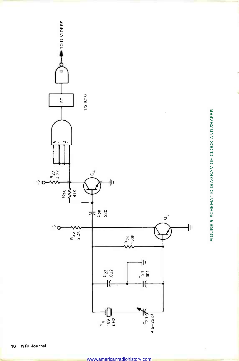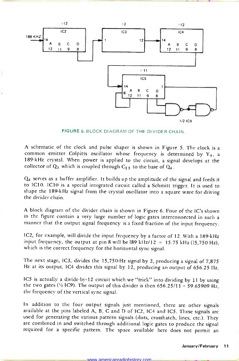

FIGURE 6. BLOCK DIAGRAM OF THE DIVIDER CHAIN.

A schematic of the clock and pulse shaper is shown in Figure 5. The clock is a common emitter Colpitts oscillator whose frequency is determined by  $Y_4$ , a 189 -kHz crystal. When power is applied to the circuit, a signal develops at the collector of  $Q_3$  which is coupled through  $C_2$ 5 to the base of  $Q_4$ .

Q4 serves as a buffer amplifier. It builds up the amplitude of the signal and feeds it to IC10. IC10 is a special integrated circuit called a Schmitt trigger. It is used to shape the 189 -kHz signal from the crystal oscillator into a square wave for driving the divider chain.

A block diagram of the divider chain is shown in Figure 6. Four of the IC's shown manner that the output signal frequency is a fixed fraction of the input frequency.

IC2, for example, will divide the input frequency by a factor of 12. With a 189-kHz input frequency, the output at pin 8 will be  $189$  kHz/12 = 15.75 kHz (15,750 Hz), which is the correct frequency for the horizontal sync signal.

The next stage, IC3, divides the 15,750 -Hz signal by 2, producing a signal of 7,875 Hz at its output. IC4 divides this signal by 12, producing an output of 656.25 Hz.

IC5 is actually a divide-by-12 circuit which we "trick" into dividing by 11 by using the two gates ( $\frac{1}{2}$  IC9). The output of this divider is then 656.25/11 = 59.65909 Hz, the frequency of the vertical sync signal.

In addition to the four output signals just mentioned, there are other signals available at the pins labeled A, B, C and D of IC2, IC4 and IC5. These signals are used for generating the various pattern signals (dots, crosshatch, lines, etc.). They are combined in and switched through additional logic gates to produce the signal required for a specific pattern. The space available here does not permit an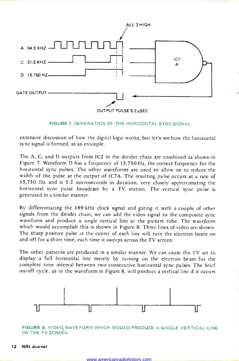

FIGURE 7. GENERATION OF THE HORIZONTAL SYNC SIGNAL.

extensive discussion of how the digital logic works, but let's see how the horizontal sync signal is formed, as an example.

The A, C, and D outputs from IC2 in the divider chain are combined as shown in Figure 7. Waveform D has a frequency of 15,750 Hz, the correct frequency for the horizontal sync pulses. The other waveforms are used to allow us to reduce the width of the pulse at the output of IC7A. The resulting pulse occurs at a rate of 15,750 Hz and is 5.2 microseconds in duration, very closely approximating the horizontal sync pulse broadcast by a TV station. The vertical sync pulse is generated in a similar manner.

By differentiating the 189 -kHz clock signal and gating it with a couple of other signals from the divider chain, we can add the video signal to the composite sync waveform and produce a single vertical line at the picture tube. The waveform which would accomplish this is shown in Figure 8. Three lines of video are shown. The sharp positive pulse at the center of each line will turn the electron beam on and off for a short time, each time it sweeps across the TV screen.

The other patterns are produced in a similar manner. We can cause the TV set to display a full horizontal line merely by turning on the electron beam for the complete time interval between two consecutive horizontal sync pulses. The brief on/off cycle, as in the waveform in Figure 8, will produce a vertical line if it occurs



FIGURE 8. VIDEO,WAVEFORM WHICH WOULD PRODUCE A SINGLE VERTICAL LINE ON THE TV SCREEN.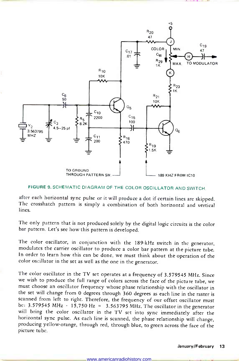

### FIGURE 9. SCHEMATIC DIAGRAM OF THE COLOR OSCILLATOR AND SWITCH.

after each horizontal sync pulse or it will produce a dot if certain lines are skipped. The crosshatch pattern is simply a combination of both horizontal and vertical lines.

The only pattern that is not produced solely by the digital logic circuits is the color bar pattern. Let's see how this pattern is developed.

The color oscillator, in conjunction with the 189-kHz switch in the generator, modulates the carrier oscillator to produce a color bar pattern at the picture tube. In order to learn how this can be done, we must think about the operation of the color oscillator in the set as well as the one in the generator.

The color oscillator in the TV set operates at a frequency of 3.579545 MHz. Since<br>we wish to produce the full range of colors across the face of the picture tube, we<br>must choose an oscillator frequency whose phase relation the set will change from 0 degrees through 360 degrees as each line in the raster is scanned from left to right. Therefore, the frequency of our offset oscillator must<br>be:  $3.579545$  MHz -  $15,750$  Hz =  $3.563795$  MHz. The oscillator in the generator will bring the color oscillator in the TV set into sync immediately after the horizontal sync pulse. As each line is scanned, the phase relationship will change, producing yellow-orange, through red, through blue, to green across the face of the picture tube.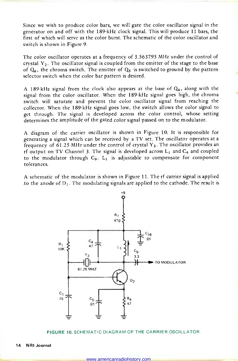Since we wish to produce color bars, we will gate the color oscillator signal in the generator on and off with the 189 -kHz clock signal. This will produce 11 bars, the first of which will serve as the color burst. The schematic of the color oscillator and switch is shown in Figure 9.

The color oscillator operates at a frequency of 3.563795 MHz under the control of crystal  $Y_2$ . The oscillator signal is coupled from the emitter of the stage to the base of  $Q_6$ , the chroma switch. The emitter of  $Q_5$  is switched to ground by the pattern selector switch when the color bar pattern is desired.

A 189-kHz signal from the clock also appears at the base of  $Q_6$ , along with the signal from the color oscillator. When the 189 -kHz signal goes high, the chroma switch will saturate and prevent the color oscillator signal from reaching the collector. When the 189 -kHz signal goes low, the switch allows the color signal to get through. The signal is developed across the color control, whose setting determines the amplitude of the gated color signal passed on to the modulator.

A diagram of the carrier oscillator is shown in Figure 10. It is responsible for generating a signal which can be received by a TV set. The oscillator operates at a frequency of 61.25 MHz under the control of crystal  $Y_3$ . The oscillator provides an rf output on TV Channel 3. The signal is developed across  $L_1$  and  $C_4$  and coupled to the modulator through  $C_9$ .  $L_1$  is adjustable to compensate for component tolerances.

A schematic of the modulator is shown in Figure 11. The rf carrier signal is applied to the anode of  $D_1$ . The modulating signals are applied to the cathode. The result is



FIGURE 10. SCHEMATIC DIAGRAM OF THE CARRIER OSCILLATOR.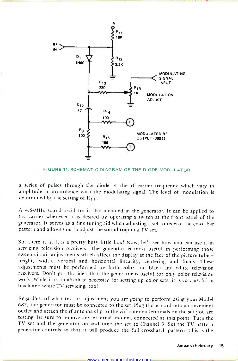

FIGURE 11. SCHEMATIC DIAGRAM OF THE DIODE MODULATOR.

a series of pulses through the diode at the rf carrier frequency which vary in amplitude in accordance with the modulating signal. The level of modulation is determined by the setting of  $R_{18}$ .

A 4.5 -MHz sound oscillator is also included in the generator. It can be applied to the carrier whenever it is desired by operating a switch at the front panel of the generator. It serves as a fine tuning aid when adjusting a set to receive the color bar pattern and allows you to adjust the sound trap in a TV set.

So, there it is. It is a pretty busy little box! Now, let's see how you can use it in servicing television receivers. The generator is most useful in performing those sweep circuit adjustments which affect the display at the face of the picture tube height, width, vertical and horizontal linearity, centering and focus. These adjustments must be performed on both color and black and white television receivers. Don't get the idea that the generator is useful for only color television work. While it is an absolute necessity for setting up color sets, it is very useful in black and white TV servicing, too!

Regardless of what test or adjustment you are going to perform using your Model 682, the generator must be connected to the set. Plug the ac cord into a convenient outlet and attach the rf antenna clip to the vhf antenna terminals on the set you are testing. Be sure to remove any external antenna connected at this point. Turn the TV set and the generator on and tune the set to Channel 3. Set the TV pattern generator controls so that it will produce the full crosshatch pattern. This is the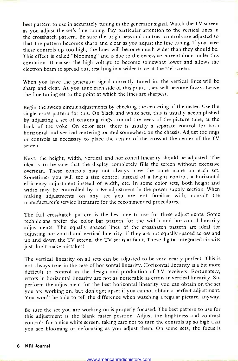best pattern to use in accurately tuning in the generator signal. Watch the TV screen as you adjust the set's fine tuning. Pay particular attention to the vertical lines in the crosshatch pattern. Be sure the brightness and contrast controls are adjusted so that the pattern becomes sharp and clear as you adjust the fine tuning. If you have these controls up too high, the lines will become much wider than they should be. This effect is called "blooming" and is due to the excessive current drain under this condition. It causes the high voltage to become somewhat lower and allows the electron beam to spread out, resulting in a wider trace at the TV screen.

When you have the generator signal correctly tuned in, the vertical lines will be sharp and clear. As you tune each side of this point, they will become fuzzy. Leave the fine tuning set to the point at which the lines are sharpest.

Begin the sweep circuit adjustments by checking the centering of the raster. Use the single cross pattern for this. On black and white sets, this is usually accomplished by adjusting a set of centering rings around the neck of the picture tube, at the back of the yoke. On color sets, there is usually a separate control for both horizontal and vertical centering located somewhere on the chassis. Adjust the rings<br>or controls as necessary to place the center of the cross at the center of the TV

screen.<br>Next, the height, width, vertical and horizontal linearity should be adjusted. The idea is to be sure that the display completely fills the screen without excessive overscan. These controls may not always have the same name on each set. Sometimes you will see a size control instead of a height control, a horizontal efficiency adjustment instead of width, etc. In some color sets, both height and width may be controlled by a B+ adjustment in the power supply section. When making adjustments on any set you are not familiar with, consult the manufacturer's service literature for the recommended procedures.

The full crosshatch pattern is the best one to use for these adjustments. Some technicians prefer the color bar pattern for the width and horizontal linearity adjustments. The equally spaced lines of the crosshatch pattern are ideal for adjusting horizontal and vertical linearity. If they are not equally spaced across and up and down the TV screen, the TV set is at fault. Those digital integrated circuits just don't make mistakes!

The vertical linearity on all sets can be adjusted to be very nearly perfect. This is not always true in the case of horizontal linearity. Horizontal linearity is a bit more difficult to control in the design and production of TV receivers. Fortunately, errors in horizontal linearity are not as noticeable as errors in vertical linearity. So, perform the adjustment for the best horizontal linearity you can obtain on the set you are working on, but don't get upset if you cannot obtain a perfect adjustment. You won't be able to tell the difference when watching a regular picture, anyway.

Be sure the set you are working on is properly focused. The best pattern to use for this adjustment is the blank raster position. Adjust the brightness and contrast controls for a nice white screen, taking care not to turn the controls up so high that you see blooming or defocusing as you adjust them. On some sets, the focus is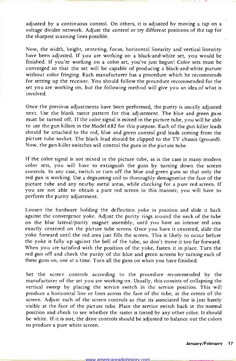adjusted by a continuous control. On others, it is adjusted by moving a tap on a voltage divider network. Adjust the control or try different positions of the tap for the sharpest scanning lines possible.

Now, the width, height, centering, focus, horizontal linearity and vertical linearity have been adjusted. If you are working on a black -and -white set, you would be finished. If you're working on a color set, you've just begun! Color sets must be converged so that the set will be capable of producing a black -and -white picture without color fringing. Each manufacturer has a procedure which he recommends for setting up the receiver. You should follow the procedure recommended for the set you are working on, but the following method will give you an idea of what is involved.

Once the previous adjustments have been performed, the purity is usually adjusted next. Use the blank raster pattern for this adjustment. The blue and green guns must be turned off. If the color signal is mixed in the picture tube, you will be able to use the gun killers in the Model 682 for this purpose. Each of the gun killer leads should be attached to the red, blue and green control grid leads coming from the picture tube socket. The black lead should be clipped to the TV chassis (ground). Now, the gun killer switches will control the guns in the picture tube.

If the color signal is not mixed in the picture tube, as is the case in many modern color sets, you will have to extinguish the guns by turning down the screen controls. In any case, switch or turn off the blue and green guns so that only the red gun is working. Use a degaussing coil to thoroughly demagnetize the face of the picture tube and any nearby metal areas, while checking for a pure red screen. If you are not able to obtain a pure red screen in this manner, you will have to perform the purity adjustment.

Loosen the hardware holding the deflection yoke in position and slide it back against the convergence yoke. Adjust the purity rings around the neck of the tube on the blue lateral/purity magnet assembly, until you have an intense red area exactly centered on the picture tube screen. Once you have it centered, slide the yoke forward until the red area just fills the screen. This is likely to occur before the yoke is fully up against the bell of the tube, so don't move it too far forward. When you are satisfied with the position of the yoke, fasten it in place. Turn the red gun off and check the purity of the blue and green screens by turning each of these guns on, one at a time. Turn all the guns on when you have finished.

Set the screen controls according to the procedure recommended by the manufacturer of the set you are working on. Usually, this consists of collapsing the vertical sweep by placing the service switch in the service position. This will produce a horizontal line or lines across the face of the tube, at the center of the screen. Adjust each of the screen controls so that its associated line is just barely visible at the face of the picture tube. Place the service switch back in the normal position and check to see whether the raster is tinted by any other color. It should be white. If it is not, the drive controls should be adjusted to balance out the colors to produce a pure white screen.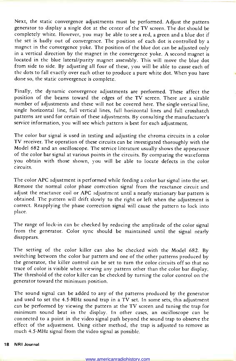Next, the static convergence adjustments must be performed. Adjust the pattern generator to display a single dot at the center of the TV screen. The dot should be completely white. However, you may be able to see a red, a green and a blue dot if the set is badly out of convergence. The position of each dot is controlled by a magnet in the convergence yoke. The position of the blue dot can be adjusted only in a vertical direction by the magnet in the convergence yoke. A second magnet is located in the blue lateral/purity magnet assembly. This will move the blue dot from side to side. By adjusting all four of these, you will be able to cause each of the dots to fall exactly over each other to produce a pure white dot. When you have done so, the static convergence is complete.

Finally, the dynamic convergence adjustments are performed. These affect the position of the beams toward the edges of the TV screen. There are a sizable number of adjustments and these will not be covered here. The single vertical line, single horizontal line, full vertical lines, full horizontal lines and full crosshatch patterns are used for certain of these adjustments. By consulting the manufacturer's service information, you will see which pattern is best for each adjustment.

The color bar signal is used in testing and adjusting the chroma circuits in a color TV receiver. The operation of these circuits can be investigated thoroughly with the Model 682 and an oscilloscope. The service literature usually shows the appearance of the color bar signal at various points in the circuits. By comparing the waveforms you obtain with those shown, you will be able to locate defects in the color circuits.

The color APC adjustment is performed while feeding a color bar signal into the set. Remove the normal color phase correction signal from the reactance circuit and adjust the reactance coil or APC adjustment until a nearly stationary bar pattern is obtained. The pattern will drift slowly to the right or left when the adjustment is correct. Reapplying the phase correction signal will cause the pattern to lock into place.

The range of lock-in can be checked by reducing the amplitude of the color signal from the generator. Color sync should be maintained until the signal nearly disappears.

The setting of the color killer can also be checked with the Model 682. By switching between the color bar pattern and one of the other patterns produced by the generator, the killer control can be set to turn the color circuits off so that no trace of color is visible when viewing any pattern other than the color bar display. The threshold of the color killer can be checked by turning the color control on the generator toward the minimum position.

The sound signal can be added to any of the patterns produced by the generator and used to set the 4.5 -MHz sound trap in a TV set. In some sets, this adjustment can be performed by viewing the pattern at the TV screen and tuning the trap for minimum sound beat in the display. In other cases, an oscilloscope can be connected to a point in the video signal path beyond the sound trap to observe the effect of the adjustment. Using either method, the trap is adjusted to remove as much 4.5 -MHz signal from the video signal as possible.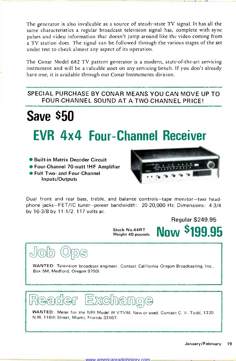The generator is also invaluable as a source of steady-state TV signal. It has all the same characteristics a regular broadcast television signal has, complete with sync pulses and video information that doesn't jump around like the video coming from a TV station does. The signal can be.followed through the various stages of the set under test to check almost any aspect of its operation.

The Conar Model 682 TV pattern generator is a modern, state-of-the-art servicing instrument and will be a valuable asset on any servicing bench. If you don't already have one, it is available through our Conar Instruments division.

### SPECIAL PURCHASE BY CONAR MEANS YOU CAN MOVE UP TO FOUR -CHANNEL SOUND AT A TWO -CHANNEL PRICE!

# **Save \$50** EVR 4x4 Four -Channel Receiver

- Built-in Matrix Decoder Circuit
- Four-Channel 70-watt IHF Amplifier

dop Gbe

Full Two- and Four -Channel Inputs/Outputs



Regular \$249.95

Now \$199.95

Dual front and rear bass, treble, and balance controls-tape monitor-two headphone jacks-FET/IC tuner-power bandwidth: 20-20,000 Hz. Dimensions: 4-3/4 by 16-3/8 by 11-1/2. 117 volts ac.<br>Stock No.44RT

Weight 40 pounds

WANTED: Television broadcast engineer. Contact California Oregon Broadcasting, Inc., Box 5M, Medford, Oregon 97501.



WANTED: Meter for the NRI Model W VTVM. New or used. Contact C. V. Todd, 1320 N.W. 116th Street, Miami, Florida 33167.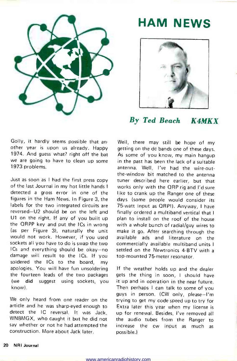

### HAM NEWS



### By Ted Beach K4MKX

Golly, it hardly seems possible that an other year is upon us already. Happy 1974. And guess what? right off the bat we are going to have to clean up some 1973 problems.

Just as soon as I had the first press copy of the last Journal in my hot little hands I detected a gross error in one of the figures in the Ham News. In Figure 3, the labels for the two integrated circuits are reversed-U2 should be on the left and U1 on the right. If any of you built up the QRPP key and put the ICs in wrong (as per Figure 3), naturally the unit would not work. However, if you used sockets all you have to do is swap the two ICs and everything should be okay-no damage will result to the ICs. If you soldered the ICs to the board, my apologies. You will have fun unsoldering the fourteen leads of the two packages (we did suggest using sockets, you know).

We only heard from one reader on the article and he was sharp-eyed enough to detect the IC reversal. It was Jack, WN8MGX, who caught it but he did not say whether or not he had attempted the construction. More about Jack later.

Well, there may still be hope of my getting on the dc bands one of these days. As some of you know, my main hangup in the past has been the lack of a suitable antenna. Well, I've had the wire-outthe -window bit matched to the antenna tuner described here earlier, but that works only with the QRP rig and I'd sure like to crank up the Ranger one of these days (some people would consider its 75 -watt input as QRP!). Anyway, I have finally ordered a multiband vertical that I plan to install on the roof of the house with a whole bunch of radial/guy wires to make it go. After searching through the available ads and literature on the commercially available multiband units settled on the Newtronics 4-BTV with a top-mounted 75-meter resonator.

If the weather holds up and the dealer gets the thing in soon, I should have it up and in operation in the near future. Then perhaps I can talk to some of you guys in person. (CW only, please-I'm trying to get my code speed up to try for Extra later this year when my license is up for renewal. Besides, I've removed all the audio tubes from the Ranger to increase the cw input as much as possible.)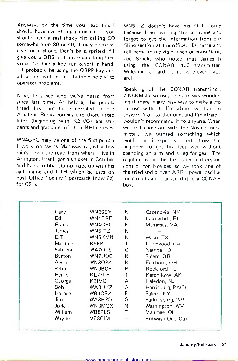Anyway, by the time you read this should have everything going and if you should hear a real shaky fist calling CQ somewhere on 80 or 40, it may be me so give me a shout. Don't be surprised if I give you a QRS as it has been a long time since I've had a key (or keyer) in hand. using the I'll probably be using the QRPP key and all errors will be attributable solely to operator problems.

Now, let's see who we've heard from since last time. As before, the people listed first are those enrolled in our Amateur Radio courses and those listed answer "no" to that one, and I'm afraid I<br>later (beginning with K2IVG) are stu- wouldn't recommend it to anyone. When later (beginning with K2IVG) are students and graduates of other NRI courses.

WN4GFG may be one of the first people <sup>I</sup>work on cw as Manassas is just a few miles down the road from where I live in Arlington. Frank got his ticket in October and had a rubber stamp made up with his call, name and QTH which he uses on Post Office "penny" postcards (now 6¢) for QSLs.

WN5ITZ doesn't have his QTH listed because I am writing this at home and forgot to get the information from our filing section at the office. His name and call came to me via our senior consultant. Joe Schek, who noted that James is CONAR 400 transmitter Welcome aboard, Jim, wherever you are!

Speaking of the CONAR transmitter, WN5KMN also uses one and was wondering if there is any easy way to make a vfo to use with it. I'm afraid we had to answer "no" to that one, and I'm afraid I we first came out with the Novice transmitter, we wanted something which would be inexpensive and allow the beginner to get his feet wet without spending an arm and a leg for gear. The regulations at the time specified crystal control for Novices, so we took one of the tried and proven ARRL power oscillator circuits and packaged it in a CONAR box.

| Gary     | WN2SEY | N | Cazenovia, NY     |
|----------|--------|---|-------------------|
| Ed.      | WN4FRF | N | Lauderhill, FL    |
| Frank    | WN4GFG | Ν | Manassas, VA      |
| James    | WN5ITZ | N |                   |
| E.T.     | WN5KMN | Ν | Waco, TX          |
| Maurice  | K6EPT  | Τ | Lakewood, CA      |
| Patricia | WA7QLS | G | Nampa, ID         |
| Burton   | WN7UOC | N | Salem, OR         |
| Alvin    | WN8QPZ | N | Fairborn, OH      |
| Peter    | WN9BCF | N | Rockford, IL      |
| Henry    | KL7HIF | т | Ketchikow, AK     |
| George   | K2IVG  | A | Haledon, NJ       |
| Bob      | WA3UKZ | Α | Harrisburg, PA(?) |
| Horace   | WB4CRZ | E | Salem, KY         |
| Jim.     | WA8HPD | G | Parkersburg, WV   |
| Jack     | WN8MGX | Ν | Washington, WV    |
| William  | WB8PLS | т | Maumee, OH        |
| Wayne    | VE3CIM |   | Burwash Ont. Can. |
|          |        |   |                   |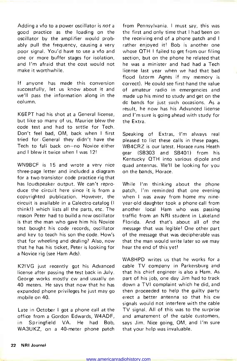Adding a vfo to a power oscillator is not a good practice as the loading on the oscillator by the amplifier would probably pull the frequency, causing a very rather enjoyed it! Bob is another one poor signal. You'd have to use a vfo and<br>one or more buffer stages for isolation, and I'm afraid that the cost would not make it worthwhile.

If anyone has made this conversion successfully, let us know about it and we'll pass the information along in the column.

K6EPT had his shot at a General license, but like so many of us, Maurice blew the code test and had to settle for Tech. Don't feel bad, OM, back when I first tried for General they didn't have the Tech to fall back on-no Novice either and I blew it twice when I was 12!

WN9BCF is 15 and wrote a very nice three -page letter and included a diagram for a two-transistor code practice rig that has loudspeaker output. We can't reproduce the circuit here since it is from a copyrighted publication. However, the circuit is available in a Calectro catalog (I think!) which lists all the parts, etc. The reason Peter had to build a new oscillator is that the man who gave him his Novice test bought his code records, oscillator and key to teach his son the code. How's that for wheeling and dealing? Also, now that he has his ticket, Peter is looking for a Novice rig (see Ham Ads).

K2IVG just recently got his Advanced license after passing the test back in July. George works mostly cw and usually on 40 meters. He says that now that he has expanded phone privileges he just may go mobile on 40.

Late in October I got a phone call at the office from a Gordon Edwards, W4ADF, in Springfield VA. He had Bob, WA3UKZ, on a 40-meter phone patch from Pennsylvania. I must say, this was the first and only time that I had been on the receiving end of a phone patch and I whose QTH I failed to get from our filing section, but on the phone he related that he was a minister and had had a Tech license last year when we had that bad flood (storm Agnes if my memory is correct). He could see first-hand the value of amateur radio in emergencies and made up his mind to study and get on the dc bands for just such occasions. As a result, he now has his Advanced license and I'm sure is going ahead with study for the Extra.

Speaking of Extras, I'm always real pleased to list these calls in these pages. WB4CRZ is our latest. Horace runs Heath gear (SB303 and SB401) from his Kentucky 0TH into various dipole and quad antennas. We'll be looking for you on the bands, Horace.

While I'm thinking about the phone patch, I'm reminded that one evening when I was away from home my nineyear -old daughter took a phone call from another local Ham who was passing traffic from an NRI student in Lakeland Florida. And that's about all of the message that was legible! One other part of the message that was decipherable was that the man would write later so we may hear the end of this yet!

WA8HPD writes us that he works for a cable TV company in Parkersburg and that his chief engineer is also a Ham. As part of his job, one day Jim had to track down a TVI complaint which he did, and then proceeded to help the guilty party erect a better antenna so that his cw signals would not interfere with the cable TV signal. All of this was to the surprise and amazement of the cable customers, says Jim. Nice going, OM, and I'm sure that your help was invaluable.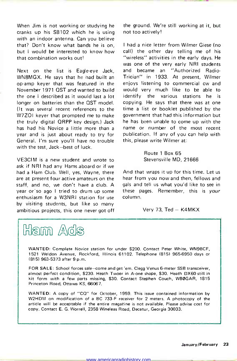When Jim is not working or studying he cranks up his SB1O2 which he is using with an indoor antenna. Can you believe that? Don't know what bands he is on, but I would be interested to know how that combination works out!

Next on the list is Eagle-eve Jack, WN8MGX. He says that he had built an op -amp keyer that was featured in the November 1971 QST and wanted to build the one I described as it would last a lot longer on batteries than the OST model. (It was several recent references to the W7ZO1 keyer that prompted me to make the truly digital QRPP key design.) Jack has had his Novice a little more than a year and is just about ready to try for General. I'm sure you'll have no trouble with the test, Jack-best of luck.

VE3CIM is a new student and wrote to ask if NRI had any Hams aboard or if we had a Ham Club. Well, yes, Wayne, there are at present four active amateurs on the staff, and no, we don't have a club. A year or so ago I tried to drum up some enthusiasm for a W3NRI station for use by visiting students, but like so many ambitious projects, this one never got off



the ground. We're still working at it, but not too actively!

<sup>I</sup>had a nice letter from Wilmer Giese (no call) the other day telling me of his "wireless" activities in the early days. He was one of the very early NRI students and became an "Authorized Radio-Trician" in 1933. At present, Wilmer enjoys listening to commercial cw and would very much like to be able to identify the various stations he is copying. He says that there was at one time a list or booklet published by the government that had this information but he has been unable to come up with the name or number of the most recent publication. If any of you can help with this, please write Wilmer at:

> Route 1 Box 65 Stevensville MD, 21666

And that wraps it up for this time. Let us hear from you now and then, fellows and gals and tell us what you'd like to see in these pages. Remember, this is your column.

Very 73,  $Ted - K4MKX$ 

WANTED: Complete Novice station for under \$200. Contact Peter White, WN9BCF, 1521 Weldon Avenue, Rockford, Illinois 61102. Telephone (815) 965-6950 days or (81 5) 963-5373 after 9 p.m.

FOR SALE: School forces sale-come and get 'em. Clegg Venus 6 -meter SSB transceiver, almost perfect condition, \$230. Heath Twoer in A -one shape, \$30. Heath DX60 still in kit form with a few parts missing, \$30. Contact Stephen Couch, WBOGAR, 1815 Princeton Road, Ottawa KS, 66067.

WANTED: A copy of "CQ" for October, 1959. This issue contained information by W2HDM on modification of a BC 733-F receiver for 2 meters. A photocopy of the article will be acceptable if the entire magazine is not available. Please advise cost for copy. Contact E. G. Worrell, 2358 Wineleas Road, Decatur, Georgia 30033.

www.americanradiohistory.com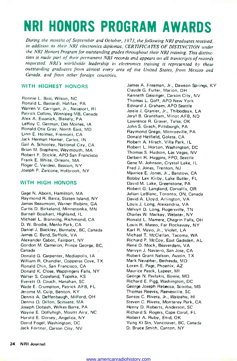## NRI HONORS PROGRAM AWARDS

During the months of September and October, 1973, the following NRI graduates received, in addition to their NRI electronics diplomas, CERTIFICATES OF DISTINCTION under the NRI Honors Program for outstanding grades throughout their NRI training. This distinction is made part of their permanent NRI records and appears on all transcripts of records requested. NRI's worldwide leadership in electronics training is represented by these outstanding graduates from almost every area of the United States, from Mexico and Canada, and from other foreign countries.

### WITH HIGHEST HONORS

Ronnie L. Bass, Wilson, NC Ronald L. Bastardi, Halifax, PA Warren V. Carrigan, Jr., Newport, RI Patrick Collins, Winnipeg MB, Canada Alex A. Ewanick, Blakely, PA LeRoy C. German, Des Moines, IA Ronald Otis Gray, North East, MD Linn E. Holmes, Fremont, CA Jack Herman Horner, Carlos, IN Gail A. Schooley, National City, CA Brian M. Stephens, Weymouth, MA Robert F. Stickle, APO San Francisco Frank E. White, Orleans, MA Roger C. Verdesi, Beacon, NY Joseph P. Zarcone, Holbrook, NY

### WITH HIGH HONORS

Gage N. Aborn, Hamilton, MA Raymond R. Barca, Staten Island, NY James Beaumont, Warner Robins, GA Curtis D. Birkeland, Minnetonka, MN Burnell Bosshart, Highland, IL Michael L. Branning, Richmond, CA D. W. Brodie, Menlo Park, CA Daniel J. Buckley, Burnaby, BC, Canada James C. Byrd, Suffolk, VA Alexander Cabot, Fairport, NY Gordon M. Cameron, Prince George, BC, Canada Donald G. Carpenter, Mediapolis, IA William R. Chandler, Copperas Cove, TX Ronald Chin, San Francisco, CA Donald K. Close, Wappingers Falls, NY Walter S. Copeland, Topeka, KS Everett O. Couch, Hanahan, SC Wade E. Crumpton, Patrick AFB, FL Jerome M. Culp, Benton, KY Dennis A. Deffenbaugh, Milford, OH Dennis D. Dillon, Scituate, MA Joseph Dobash, Wilkes-Barre, PA Wayne E. Dollyhigh, Mount Airy, NC Harold E. Dorsey, Angelica, NY David Fogel, Washington, DC Jack Fortner, Carson City, NV

James A. Freeman, Jr., Dawson Springs, KY Claude G. Fuller, Marion, OH Kenneth Geisinger, Carson City, NV Thomas L. Goff, APO New York Edward J. Graham, APO Seattle Jessie J. Granier, Jr., Thibodaux, LA Jeryl B. Grantham, Minot AFB, ND Lawrence R. Graver, Tulsa, OK John S. Grech, Pittsburgh, PA Raymond Grego, Monroeville, PA Donald Hetfield, Goleta, CA Robert A. Hirsch, Villa Park, IL Robert L Horton, Washington, DC Thomas S. Hudson, Las Vegas, NV Delbert R. Huggins, FPO, Seattle Gene M. Johnson, Crystal Lake, IL Fred J. Jones, Trenton, NJ Maurice E. Jones, Jr., Barstow, CA Bobby Lex Kirby, Lake Butler, FL David M. Lake, Greenstone, PA Robert G. Langland, Corvallis, OR Julian LeBlanc, Toronto, ON, Canada David A. Lloyd, Arlington, VA Louis J. Long, Alexandria, VA Melvyn D. Long, Rogersville, TN Charles W. Mackay, Webster, NY Ronald L. Mamere, Chagrin Falls, OH Louis R. Mateo, Far Rockaway, NY Karl R. Mayo, Jr., Violet, LA Michael T. McClellan, Tacoma, WA Richard P. McCoy, East Gadsden, AL Rene D. Mock, Beaverdam, VA Mervyn J. Navarro, San Jose, CA Robert Grant Nelson, Austin, TX Mark Newpher, Bethesda, MD Loren E. Page, Phoenix, AZ Maurice Pasck, Lapeer, MI George N. Pavlakis, Bowie, MD Richard E. Pigg, Washington, DC George Joseph Rebecca, Scooba, MS Thomas Reeves, Reevesville, SC Santos C. Rivera, Jr., Waipahu, HI Steven C. Rivera, Monterey Park, CA Henry D. Roberts, Anderson, SC Richard S. Rogers, Cape Coral, FL Robert A. Ruby, Enid, OK Yung Ki Sin, Vancouver, BC, Canada D. Bruce Smith, Canton, NY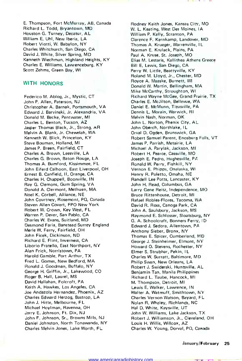E. Thompson, Fort McMurray, AB, Canada Richard L. Todd, Bryantown, MD Houston G. Turney, Decatur, AL William E. Uhl, New Iberia, LA Robert Viotti, W. Babylon, NY Charles Whitchurch, San Diego, CA David J. White, Silver Spring, MD Kenneth Wiechman, Highland Heights, KY Charles E. Williams, Lawrenceburg, KY Scott Zehms, Green Bay, WI

#### WITH HONORS

Federico M. Ablog, Jr., Mystic, CT John P. Allen, Paterson, NJ Christopher A. Barnak, Portsmouth, VA Edward J. Barvinski, Jr. Alexandria, VA Donald M. Becke, Pentwater, MI Charles L Benton, Tucson, AZ Jasper Thomas Black, Jr., Strong, AR Melvin A. Blank, Jr. Chewelah, WA Kenneth W. Blick, Princeton, KY Steve Bouman, Holland, MI James P. Breen, Fairfield, CT Charles A. Brown, Leesville, LA Charles G. Brown, Baton Rouge, LA Thomas A. Bumford, Kissimmee, FL John Eiferd Calhoon, East Liverpool, OH Ernest B. Canfield, II, Orange, CA Charles H. Chappell, Boonville, IN Ray G. Clemons, Gum Spring, VA Donald A. Clermont, Methuen, MA Noel K. Corbel!, Alliance, NE John Courtney, Rosemont, PQ, Canada Steven Allen Covert, FPO New York Robert W. Crown, Key West, FL Warren P. Dever, San Pablo, CA Charles W. Evans, Suitland, MD Desmond Faria, Banstead Surrey England Merle W. Ferry, Fairfield, OH John Ficek, Dickinson, ND Richard E. Flint, Inverness, CA Liborio Fratello, East Northport, NY Alan Frick, Norristown, PA Harold Gamble, Port Arthur, TX Fred L. Gomes, New Bedford, MA Ronald J. Goodman, Buffalo, NY George H. Griffin, Jr., Lakewood, CO Roger B. Hall, Laurel, MS David Hallahan, Folcroft, PA Keith A. Hawkes, Los Angeles, CA Joe Andazola Hernandez, Phoenix, AZ Charles Edward Herzog, Bastrop, LA John J. Hitte, Melbourne, FL Michael Hoylman, Ravenna, OH Jerry E. Johnson, Ft. Dix, NJ John F. Johnson, Sr., Browns Mills, NJ Daniel Johnston, North Tonawanda, NY Charles Melvin Jones, Lake Worth, FL

Rodney Keith Jones, Kansas City, MO W. L. Keating, West Des Moines, IA William P. Kelly, Scranton, PA Clarence F. Kernkamp, Landover, MD Thomas A. Krueger, Warrenville, I L Norman E. Krulack, Plains, PA Paul A. Kruse, St. Joseph, MO Elias M. Lestaris, Kallithea Athens Greece Bill E. Lewis, San Diego, CA Perry W. Little, Beattyville, KY Roland M. Lloyd, Jr., Chester, MD Royce A. Maaske, Burnett, WI Donald W. Martin, Bellingham, MA Mike McCarthy, Stroughton, WI Richard Wayne McGee, Grand Prairie, TX Charles E. McJilton, Bellevue, WA Daniel E. McMunn, Titusville, PA Dennis L. Morain, Warwick, RI Melvin Nash, Norman, OK John L. Norton, Phenix City, AL John Oberch, Northlake, IL Orval D. Ogden, Brunswick, GA Robert Samuel Parent, Enosburq Falls, VT James P. Parrish, Metairie, LA Michael A. Parylak, Jackson, MI Robert H. Pearce, Cassville, MO Joseph E. Pedro, Hughesville, PA Ronald W. Perry, Fishkill, NY Vernon E. Phipps, Onalaska, WI Henry R. Poletto, Omaha, NE Randell Lee Potts, Lancaster, KY John H. Read, Columbus, GA Larry Gene Reitz, Independence, MO Bruce Rittenhouse, Detroit, MI Rafael Robles-Flores, Tacoma, WA David R. Ross, Canoga Park, CA John A. Saulsbury, Jackson, MS Raymond E. Schlosser, Sloatsburg, NY G. A. Schoolcraft, Bonners Ferry, ID Edward J. Sedora, Allentown, PA Anthony Sieber, Bronx, NY Thomas E. Spicer, Cumberland, MD George J. Steinheimer, Elmont, NY Howard O. Stevens, Rochester, NY Elmer S. Strubhar, Pekin, I L Charles W. Surratt, Baltimore, MD Philip Swan, New Orleans, LA Robert J. Swiderski, Huntsville, AL Benjamin Tan, Manila Philippines Richard L. Taube, Hancock, MI M. Thompson, Detroit, MI Lewis E. Walker, Lawrence, IN Walter A. Watmuff, Smithtown, NY Charles Vernon Watson, Bayard, FL. Nolan R. Whaley, Richlands, NC Hal D. White, Kaysville, UT John W. Williams, Lake Jackson, TX Robert J. Williamson, Jr., Cleveland, OH Louis H. Willis, Willcox, AZ Charles W. Young, Dorval, PO, Canada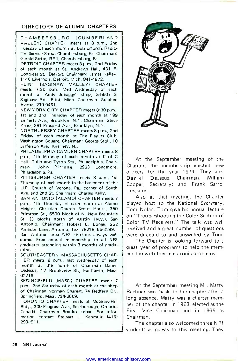### DIRECTORY OF ALUMNI CHAPTERS

CHAMBERSBURG (CUMBERLAND VALLEY) CHAPTER meets at 8 p.m., 2nd Tuesday of each month at Bob Erford's Radio-TV Service Shop, Chambersburg, Pa. Chairman: Gerald Strite, RR1, Chambersburg, Pa.

DETROIT CHAPTER meets 8 p.m., 2nd Friday of each month at St. Andrews Hall, 431 E. Congress St., Detroit. Chairman: James Kelley, 1140 Livernois, Detroit, Mich. 841-4972.

FLINT (SAGINAW VALLEY) CHAPTER meets 7:30 p.m., 2nd Wednesday of each month at Andy Jobaggy's shop, G-5507 S. Saginaw Rd., Flint, Mich. Chairman: Stephen Avetta, 239-0461.

NEW YORK CITY CHAPTER meets 8:30 p.m., 1st and 3rd Thursday of each month at 199 Lefferts Ave., Brooklyn, N.Y. Chairman: Steve Kross, 381 Prospect Ave., Brooklyn, N.Y.

NORTH JERSEY CHAPTER meets 8 p.m., 2nd Friday of each month at The Players Club, Washington Square. Chairman: George Stoll, 10 Jefferson Ave., Kearney, N.J.

PHILADELPHIA-CAMDEN CHAPTER meets 8 p.m., 4th Monday of each month at K of C Hall, Tulip and Tyson Sts., Philadelphia. Chairman: John Pirrung, 2923 Longshore, Philadelphia, Pa.

PITTSBURGH CHAPTER meets 8 p.m., 1st | Daniel Thursday of each month in the basement of the U.P. Church of Verona, Pa., corner of South Ave. and 2nd St. Chairman: Charles Kelly.

SAN ANTONIO (ALAMO) CHAPTER meets 7 p.m., 4th Thursday of each month at Alamo Heights Christian Church Scout House, 350 Primrose St., 6500 block of N. New Braunfels St. (3 blocks north of Austin Hwy.), San Antonio. Chairman: Robert E. Bonge, 222 Amador Lane, Antonio, Tex. 78218, 65-3299.

San Antonio area NRI students always wel come. Free annual membership to all NRI graduates attending within 3 months of graduation.

SOUTHEASTERN MASSACHUSETTS CHAP-TER meets 8 p.m., last Wednesday of each month at the home of Chairman Daniel DeJesus, 12 Brookview St., Fairhaven, Mass. 02719.

SPRINGFIELD (MASS.) CHAPTER meets 7 p.m., 2nd Saturday of each month at the shop of Chairman Norman Charest, 74 Redfern Dr., Springfield, Mass. 734-2609.

TORONTO CHAPTER meets at McGraw-Hill Bldg., 330 Progress Ave., Scarborough, Ontario, Canada. Chairman Branko Lebar. For information contact Stewart J. Kenmuir (416) 293-1911.



At the September meeting of the Chapter, the membership elected new officers for the year 1974. They are: DeJesus, Chairman; William Cooper, Secretary; and Frank Sarro, Treasurer.

Also at that meeting, the Chapter played host to the National Secretary, Tom Nolan. Tom gave his annual lecture on "Troubleshooting the Color Section of Color TV Receivers." The talk was well received and a great number of questions were directed to and answered by Tom.

The Chapter is looking forward to a great year of programs to help the mem bership with their electronic problems.

At the September meeting Mr. Matty Rechner was back to the chapter after a long absence. Marty was a charter member of the chapter in 1963, elected as the First Vice Chairman and in 1965 as Chairman.

The chapter also welcomed three NRI students as guests to this meeting. They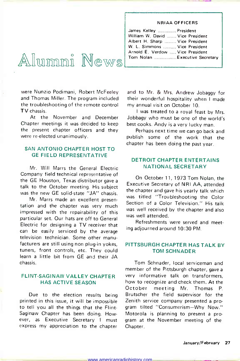### NRIAA OFFICERS

| James Kelley  President          |
|----------------------------------|
| William W. David  Vice President |
| Albert H. Sharp  Vice President  |
| W. L. Simmons  Vice President    |
| Arnold E. Verdow  Vice President |
| Tom Nolan  Executive Secretary   |
|                                  |

# $\circ$  5 A UNIMIA REAL Starp ...

were Nunzio Podimani, Robert McFeeley and Thomas Miller. The program included the troubleshooting of the remote control TV chassis.

At the November and December Chapter meetings it was decided to keep best cooks. Andy is a very lucky man. the present chapter officers and they were re-elected unanimously.

### SAN ANTONIO CHAPTER HOST TO GE FIELD REPRESENTATIVE

Mr. Will Marrs the General Electric Company field technical representative of the GE Houston, Texas distributor gave a talk to the October meeting. His subject was the new GE solid-state "JA" chassis.

Mr. Marrs made an excellent presentation and the chapter was very much impressed with the repairability of this particular set. Our hats are off to General Electric for designing a TV receiver that can be easily serviced by the average television technician. Some other manufacturers are still using non plug-in yokes, tuners, front controls, etc. They could learn a little bit from GE and their JA chassis.

### FLINT-SAGINAW VALLEY CHAPTER HAS ACTIVE SEASON

Due to the election results being printed in this issue, it will be Impossible to tell you all the things that the Flint-Saginaw Chapter has been doing. However, as Executive Secretary I must express my appreciation to the chapter

and to Mr. & Mrs. Andrew Jobaggy for their wonderful hospitality when I made my annual visit on October 10.

<sup>I</sup>was treated to a royal feast by Mrs. Jobbagy who must be one of the world's

Perhaps next time we can go back and publish some of the work that the chapter has been doing the past year.

### DETROIT CHAPTER ENTERTAINS NATIONAL SECRETARY

On October 11, 1973 Tom Nolan, the Executive Secretary of NRI AA, attended the chapter and gave his yearly talk which was titled "Troubleshooting the Color Section of a Color Television." His talk was well received by the chapter and also was well attended.

Refreshments were served and meeting adjourned around 10:30 PM.

### PITTSBURGH CHAPTER HAS TALK BY TOM SCHNADER

Tom Schnader, local serviceman and member of the Pittsburgh chapter, gave a very informative talk on transformers, how to recognize and check them. At the October meeting Mr. Thomas P. Brutscher the field supervisor for the Zenith service company presented a program tilted "Consumerism-Why Now." Motorola is planning to present a program at the November meeting of the Chapter.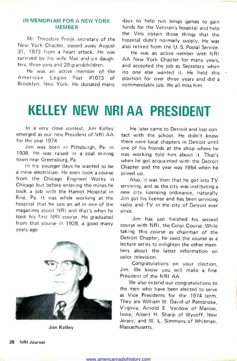### IN MEMORIAM FOR A NEW YORK MEMBER

Mr. Theodore Freije, secretary of the New York Chapter, passed away August 31, 1973 from a heart attack. He was survived by his wife Mae and six daughters, three sons and 29 grandchildren.

He was an active member of the<br>American Legion Post #1073 of Legion Post #1073 of Brooklyn, New York. He donated many

days to help run bingo games to gain funds for the Veteran's hospital and help the Vets obtain those things that the hospital didn't normally supply. He was also retired from the U. S. Postal Service.

He was an active nember with NRI AA New York Chapter for many years, and accepted the job as Secretary when no one else wanted it. He held this position for over three years and did a commendable job. We all miss him.

## KELLEY NEW NRI AA PRESIDENT

In a very close contest, Jim Kelley emerged as our new President of NRI AA for the year 1974.

Jim was born in Pittsburgh, Pa. in 1908. He was raised in a coal mining town near Greensburg, Pa.

In his younger days he wanted to be <sup>a</sup>mine electrician. He even took a course from the Chicago Engineer Works in Chicago but before entering the mines he took a job with the Hamot Hospital in Erie, Pa. It was while working at the hospital that he saw an ad in one of the magazines about NRI and that's when he took his first NRI course. He graduated from that course in 1928, a good many years ago.



Jim Kelley

He later came to Detroit and lost contact with the school. He didn't know there were local chapters in Detroit until. one of his friends at the shop where he was working told him about it. That's when he got acquainted with the Detroit Chapter and the year was 1954 when he joined up.

Also, it was then that he got into TV servicing, and as the city was instituting a new city licensing ordinance, naturally Jim got his license and has been servicing radio and TV in the city of Detroit ever

Jim has just finished his second course with NRI, the Color Course. While taking this course as chairman of the Detroit Chapter, he used the course as a lecture series to enlighten the other members about the latest information on color television.

Congratulations on your election, Jim. We know you will make a fine President of the NRI AA.

We also extend our congratulations to the men who have been elected to serve as Vice Presidents for the 1974 term. They are William W. David of Pembroke, Virginia; Arnold E. Verdow of Marion, Iowa; Albert H. Sharp of Wycoff, New Jersey; and W. L. Simmons of Whitman, **Massachusetts**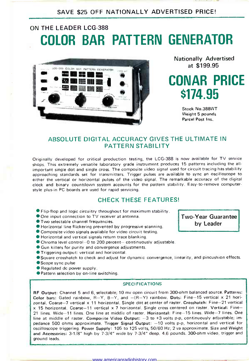### SAVE \$25 OFF NATIONALLY ADVERTISED PRICE!

### ON THE LEADER LCG-388 COLOR BAR PATTERN GENERATOR



Nationally Advertised at \$199.95

## CONAR PRICE \$174.95

Stock No.388WT Weight 5 pounds Parcel Post Ins.

### ABSOLUTE DIGITAL ACCURACY GIVES THE ULTIMATE IN PATTERN STABILITY

Originally developed for critical production testing, the LCG-388 is now available for TV service shops. This extremely versatile laboratory grade instrument produces 15 patterns including the allimportant single dot and single cross. The composite video signal used for circuit tracing has stability approaching standards set for transmitters. Trigger pulses are available to sync an oscilloscope to either the vertical or horizontal pulses of the video signal. The remarkable accuracy of the digital clock and binary countdown system accounts for the pattern stability. Easy-to-remove computerstyle plus-in PC boards are used for rapid servicing.

### CHECK THESE FEATURES!

- Flip-flop and logic circuitry throughout for maximum stability.
- One input connection to TV receiver at antenna.
- Two selectable channel frequencies.
- Horizontal line flickering prevented by progressive scanning.
- Composite video signals available for video circuit testing.
- Horizontal and vertical signals return trace blanking.
- Chroma level control-0 to 200 percent- continuously adjustable.
- Gun killers for purity and convergence adjustments.
- Triggering output: vertical and horizontal.
- Square crosshatch to check and adjust for dynamic convergence, linearity, and pincushion effects.<br>Scope sync pulse
- 
- Regulated dc power supply.
- **Pattern selection by on-line switching.**

#### **SPECIFICATIONS**

RF Output: Channel 5 and 6, selectable; 10 my open circuit from 300 -ohm balanced source. Patterns: Color bars: Gated rainbow,  $R-Y$ ,  $B-Y$ , and  $-(R-Y)$  rainbow. Dots: Fine-15 vertical x 21 horizontal. Coarse-7 vertical x 11 horizontal. Single dot at center of raster. Crosshatch: Fine-21 vertical x 15 horizontal. Coarse-11 vertical x 7 horizontal. Single cross centered on raster. Vertical: Fine-21 lines. Wide-11 lines. One line at middle of raster. Horizontal: Fine-15 lines. Wide-7 lines. One line at middle of raster. Composite Video Output: - 3 to +3 volts p-p, continuously adjustable; impedance 500 ohms approximate. Trigger Signal Output: -10 volts p-p, horizontal and vertical for oscilloscope triggering. Power Supply: 105 to 125 volts, 50/60 Hz; 2 va approximate. Size and Weight and Accessories: 3-1/8" high by 7-3/4" wide by 7-3/4" deep. 4.6 pounds. 300-ohm video, trigger and ground leads.

**Two-Year Guarantee** by Leader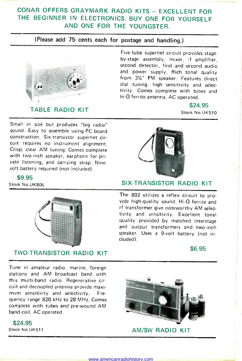### CONAR OFFERS GRAYMARK RADIO KITS - EXCELLENT FOR THE BEGINNER IN ELECTRONICS. BUY ONE FOR YOURSELF AND ONE FOR THE YOUNGSTER.

### (Please add 75 cents each for postage and handling.)



### TABLE RADIO KIT

Small in size but produces "big radio" sound. Easy to assemble using PC board construction. Six -transistor superhet circuit requires no instrument alignment. Crisp, clear AM tuning. Comes complete with two-inch speaker, earphone for private listening, and carrying strap. Ninevolt battery required (not included).

\$9.95



### TWO -TRANSISTOR RADIO KIT

Five-tube superhet circuit provides stageby -stage assembly; mixer, if amplifier, second detector, first and second audio and power supply. Rich tonal quality from  $3\frac{1}{2}$ " PM speaker. Features direct dial tuning. high sensitivity and selectivity. Comes complete with tubes and hi-Q ferrite antenna. AC operated.

> \$24.95 Stock No.UK510



### Stock No.UK806 SIX-TRANSISTOR RADIO KIT

The 802 utilizes a reflex circuit to provide high-quality sound. Hi-Q ferrite and rf transformer give noteworthy AM selectivity and sensitivity. Excellent tonal quality provided by matched interstage and output transformers and two-inch speaker. Uses a 9-volt battery (not included).

\$6.95

Tune in amateur radio, marine, foreign stations and AM broadcast band with this multi -band radio. Regenerative circuit and decoupled antenna provide maximum sensitivity and selectivity. Frequency range 820 kHz to 28 MHz. Comes complete with tubes and pre -wound AM band coil. AC operated.

\$24.95



Stock No.UK511 AM/SW RADIO KIT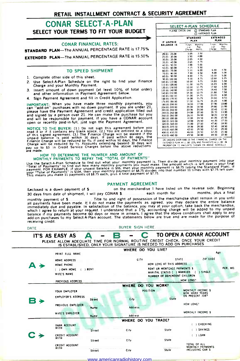### RETAIL INSTALLMENT CONTRACT & SECURITY AGREEMENT

### CONAR SFLECT-A-PLAN SELECT YOUR TERMS TO FIT YOUR BUDGET

CONAR FINANCIAL RATES:

**STANDARD PLAN-The ANNUAL PERCENTAGE RATE is 17.75% EXTENDED PLAN-The ANNUAL PERCENTAGE RATE is 15.50%** 

#### TO SPEED SHIPMENT

- 1. Complete other side of this sheet.
- 2. Use Select-A-Plan Schedule on the right to find your Finance Charge and your Monthly Payment.
- 3. Insert amount of down payment (at least  $10\%$  of total order)  $\begin{bmatrix} 1 \\ 2 \\ 3 \end{bmatrix}$  and other information in Payment Agreement below.
- 4. Sign Payment Agreement and fill in Credit Application.

IMPORTANT: When you have made three monthly payments, you can "add-on" purchases with no down payment. If you are under 21, please have the Payment Agreement and credit application filled out and signed by a person over 21. He can make the purchase for you and will be responsible for payment. If you have a CONAR account open or recently paid -in -full, just sign the Payment Agreement.

NOTICE TO THE BUYER: (1.) Do not sign this agreement before you<br>of this signed agreement, (3.) The Contains agree and the of this signed agreement, (3.) The Finance Charge will be waved if the<br>praid balance is paid within

MONTFIELT PATMELIST OF REPAIRM THE TOTAL CONTROL INTO THE SERVICE OF THE SERVICE IS A USE THE SERVICE OF THE TO<br>Use the Select-A-Plan Schedule to find out what your monthly payment is. Then divide your monthly payment into

#### PAYMENT AGREEMENT

Enclosed is a down payment of \$ on the merchandise I have listed on the reverse side. Beginning<br>20 days from date of shinment I will pay CONAR \$ each month for some months, plus a final <sup>30</sup>days from date of shipment, I will pay CONAR 5 -- - each month for . \_ months, plus a final monthly payment of \$ Title to and right of possession of the merchanidse shall remain in you until all payments have been made. It I do not make the payments as agreed, you may declare the entire balance immediately due and payable. In satisfaction of the balance, you may at your option, take back the merchandise, which I agree to return' at your request. I understand that a 1% accounting charge will be added to my unpaid balance if my payments become 60 days or more in arrears. I agree that the above conditions shall apply to any add-on purchases to my Select -A -Plan account. The statements below are true and are made for the purpose of receiving credit.

|   |                                                |                  | <b>BUYER SIGN HERE</b>                                                                                                                                                 |                                                              |                                       |          |
|---|------------------------------------------------|------------------|------------------------------------------------------------------------------------------------------------------------------------------------------------------------|--------------------------------------------------------------|---------------------------------------|----------|
|   | IT'S AS EASY AS $\qquad \qquad \blacktriangle$ |                  | $\mathbb{C}$<br>В<br>PLEASE ALLOW ADEQUATE TIME FOR NORMAL ROUTINE CREDIT CHECK. ONCE YOUR CREDIT<br>IS ESTABLISHED, ONLY YOUR SIGNATURE IS NEEDED TO ADD ON PURCHASES |                                                              | TO OPEN A CONAR ACCOUNT               |          |
|   | PRINT FULL NAME                                |                  | WHERE DO YOU LIVE?                                                                                                                                                     |                                                              | Age                                   |          |
|   | HOME ADDRESS<br>HOME PHONE                     |                  | CITY                                                                                                                                                                   | STATE<br>HOW LONG AT THIS ADDRESS                            | ZIP CODE                              |          |
|   | ( ) OWN HOME ( ) RENT<br>WIFE'S NAME           |                  |                                                                                                                                                                        | RENT OR MORTGAGE PAYMENTS \$<br>NUMBER OF DEPENDENT CHILDREN | MARITAL STATUS ( ) MARRIED ( ) SINGLE | RER. MO. |
|   | PREVIOUS ADDRESS                               |                  |                                                                                                                                                                        |                                                              | HOW LONG?                             |          |
|   |                                                |                  | WHERE DO YOU WORK?                                                                                                                                                     |                                                              |                                       |          |
|   | YOUR EMPLOYER                                  |                  | <b>POSITION</b>                                                                                                                                                        |                                                              | MONTHLY INCOME \$<br>HOW MANY YEARS   |          |
| в | <b>EMPLOYER'S ADDRESS</b>                      | 1.1411<br>Street | City                                                                                                                                                                   | <b>State</b>                                                 | ON PRESENT JOB?                       |          |
|   | PREVIOUS EMPLOYER                              | <b>Name</b>      | <b>Address</b>                                                                                                                                                         |                                                              | HOW LONG?                             |          |
|   | WIFE'S EMPLOYER                                | Name             | Address                                                                                                                                                                |                                                              | MONTHLY INCOME S                      |          |
|   |                                                |                  | WHERE DO YOU TRADE?                                                                                                                                                    |                                                              |                                       |          |
|   | <b>BANK ACCOUNT</b><br><b>WITH</b>             |                  |                                                                                                                                                                        |                                                              | <b>CHECKING</b>                       |          |
|   |                                                | Street           | City                                                                                                                                                                   | State                                                        | ) SAVINGS                             |          |
|   | <b>CREDIT ACCOUNT</b><br><b>WITH</b>           |                  |                                                                                                                                                                        |                                                              | $( )$ LOAN                            |          |
|   |                                                | Street           | City                                                                                                                                                                   | State                                                        |                                       |          |
|   | CREDIT ACCOUNT                                 |                  |                                                                                                                                                                        |                                                              | TOTAL OF ALL<br>MONTHLY PAYMENTS      |          |
|   | <b>WITH</b>                                    | Street           | City                                                                                                                                                                   | State                                                        | INCLUDING CAR \$                      |          |

|  | www.americanradiohistory.com- |  |  |
|--|-------------------------------|--|--|
|  |                               |  |  |

| PLEASE CHECK ONE  |                                | n<br>m                   | STANDARD PLAN<br><b>FXTENDED PLAN</b> |                          |
|-------------------|--------------------------------|--------------------------|---------------------------------------|--------------------------|
| <b>IF UNPAID</b>  | <b>STANDARD</b><br><b>PLAN</b> |                          | <b>EXTENDED</b><br><b>PLAN</b>        |                          |
| <b>BALANCE IS</b> | Finan-<br>Cial.<br>Charge      | Monthly<br>Pav-<br>ments | Finan-<br>C+3F<br>Charge              | Monthle<br>Pay-<br>ments |
| 20.01-25.00       | 1.05                           | 3.50                     |                                       |                          |
| 25.01-30.00       | 1.50                           | 4.00                     |                                       |                          |
| 30.01 - 35 00     | 2.05                           | 4.50                     |                                       |                          |
| 35.01 40.00       | 2.65                           | 4.75                     |                                       |                          |
| 40 01-50.00       | 3.00                           | 5.00                     |                                       |                          |
| 50.01-60.00       | 4.15                           | 5.50                     |                                       |                          |
| 60.01 - 70.00     | 5.50                           | 6.00                     | 6.40                                  | 4.50                     |
| 70.01-80.00       | 700                            | 6.50                     | 8.00                                  | 5.00                     |
| 80.01-90.00       | 8 0 0                          | 775                      | 10.10                                 | 5.00                     |
| 90.01-100.00      | 9.00                           | 8.75                     | 12.60                                 | 5.25                     |
| 100.01-110.00     | 10.00                          | 9.75                     | 14.80                                 | 5.50                     |
| 110.01-120.00     | 11.00                          | 10.75                    | 16.20                                 | 600                      |
| 120 01-130.00     | 12.00                          | 11.75                    | 17.60                                 | 6.50                     |
| 130.01-140.00     | 13.00                          | 1275                     | 19.40                                 | 7.00                     |
| 140.01-150.00     | 14.00                          | 13.75                    | 21.60                                 | 7.50                     |
| 150.01-160.00     | 15.00                          | 14.75                    | 23 20                                 | 8.00                     |
| 160.01-170.00     | 16 00                          | 15.75                    | 24.80                                 | 8.50                     |
| 170.01-180.00     | 17.00                          | 1675                     | 26.20                                 | 9.00                     |
| 180.01-200.00     | 18 00                          | 17.00                    | 27.90                                 | 10.00                    |
| 200.01-220.00     | 20.00                          | 18.50                    | 29 80                                 | 1100                     |
| 220.01-240.00     | 22.00                          | 20.00                    | 32.40                                 | 12.00                    |
| 240.01-260.00     | 24.00                          | 22.00                    | 35 20                                 | 13.00                    |
| 260.01-280.00     | 26.00                          | 24 00                    | 38.20                                 | 14.50                    |
| 280.01-300.00     | 30 00                          | 24.50                    | 41 20                                 | 15 50                    |
| 300.01-320 00     | 32 00                          | 25.50                    | 44.20                                 | 17.00                    |
| 320.01-340.00     | 35.00                          | 27 00                    | 47.80                                 | 18.00                    |
| 340.01-370.00     | 38.00                          | 28.00                    | 52.40                                 | 18.50                    |
| 370.01-400.00     | 42 00                          | 29.50                    | 57 20                                 | 29.00                    |
| 400.01-430.00     | 46 00                          | 31.50                    | 62.20                                 | 21.00                    |
| 430 01-460 00     | 49.50                          | 34.00                    | 69 00                                 | 22 00                    |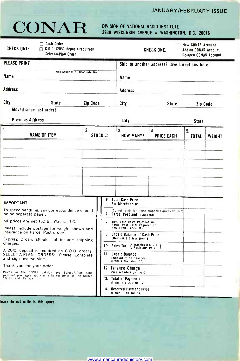### JANUARY/FEBRUARY ISSUE

# CONAR <sup>DIVISION OF NATIONAL RADIO INSTITUTE</sup><br>3939 WISCONSIN AVENUE • WASHINGTON, D.C. 20016

| $\Box$ Cash Order<br><b>CHECK ONE:</b><br>C.O.D. (20% deposit required)<br>Select-A-Plan Order                                                                                                                                                                              |          |            |                                                                                                                                                                                                                                            | CHECK ONE:                                       | New CONAR Account<br>$\Box$ Add-on CONAR Account<br>Re-open CONAR Account |        |
|-----------------------------------------------------------------------------------------------------------------------------------------------------------------------------------------------------------------------------------------------------------------------------|----------|------------|--------------------------------------------------------------------------------------------------------------------------------------------------------------------------------------------------------------------------------------------|--------------------------------------------------|---------------------------------------------------------------------------|--------|
| PLEASE PRINT<br>NRI Student or Graduate No.<br>Name                                                                                                                                                                                                                         |          |            | <b>Name</b>                                                                                                                                                                                                                                | Ship to another address? Give Directions here    |                                                                           |        |
| Address                                                                                                                                                                                                                                                                     |          |            | Address                                                                                                                                                                                                                                    |                                                  |                                                                           |        |
| City<br>State                                                                                                                                                                                                                                                               | Zip Code |            | City                                                                                                                                                                                                                                       | <b>State</b>                                     | Zip Code                                                                  |        |
| Moved since last order?<br><b>Previous Address</b>                                                                                                                                                                                                                          |          |            | City                                                                                                                                                                                                                                       |                                                  | <b>State</b>                                                              |        |
| 1.<br><b>NAME OF ITEM</b>                                                                                                                                                                                                                                                   | 2.       | STOCK $\#$ | 3.<br><b>HOW MANY?</b>                                                                                                                                                                                                                     | 4.<br><b>PRICE EACH</b>                          | 5.<br>TOTAL                                                               | WEIGHT |
|                                                                                                                                                                                                                                                                             |          |            |                                                                                                                                                                                                                                            |                                                  |                                                                           |        |
| <b>IMPORTANT</b>                                                                                                                                                                                                                                                            |          |            | 6. Total Cash Price<br>For Merchandise                                                                                                                                                                                                     |                                                  |                                                                           |        |
| To speed handling, any correspondence should<br>be on separate paper.                                                                                                                                                                                                       |          |            | 7. Parcel Post and Insurance                                                                                                                                                                                                               | (Do not remit for items shipped Express Collect) |                                                                           |        |
| All prices are net F.O.B., Wash., D.C.<br>Please include postage for weight shown and<br>insurance on Parcel Post orders.<br>Express Orders should not include shipping<br>charges.<br>A 20% deposit is required on C.O.D. orders.<br>SELECT A-PLAN ORDERS: Please complete |          |            | 8. 10% Cash Down Payment and<br>Parcel Post Costs Required on<br><b>New CDNAR Accounts</b><br>9. Unpaid Balance of Cash Price<br>(Items 6 & 7 less item 8)<br>( Washington, D.C.)<br>Residents Dnly<br>10. Sales Tax<br>11. Unpaid Balance |                                                  |                                                                           |        |
| and sign reverse side.<br>Thank you for your order.<br>Prices in the CONAR catalog and Select-A-Plan time                                                                                                                                                                   |          |            | (Amount to be financed)<br>(Item 9 plus item 10)<br>12. Finance Charge<br>(See schedule on back)                                                                                                                                           |                                                  |                                                                           |        |
| payment privileges apply only to residents of the United<br>States and Canada.                                                                                                                                                                                              |          |            | 13. Total of Payments<br>(Item 11 plus item 12)<br>14. Oeferred Payment Price                                                                                                                                                              |                                                  |                                                                           |        |
|                                                                                                                                                                                                                                                                             |          |            | (items 6, 10 and 12)                                                                                                                                                                                                                       |                                                  |                                                                           |        |

lease do not write in this space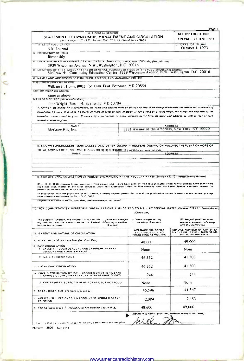| STATEMENT OF OWNERSHIP, MANAGEMENT AND CIRCULATION<br>(Act of August 12, 1970: Section 3685. Title 39. United States Code)                                                                                                                                                                                                                                                                                                                              |                                                                        | SEE INSTRUCTIONS<br>ON PAGE 2 (REVERSE)                                                    |
|---------------------------------------------------------------------------------------------------------------------------------------------------------------------------------------------------------------------------------------------------------------------------------------------------------------------------------------------------------------------------------------------------------------------------------------------------------|------------------------------------------------------------------------|--------------------------------------------------------------------------------------------|
| <b>T TITLE OF PUBLICATION</b><br>NRI Journal                                                                                                                                                                                                                                                                                                                                                                                                            |                                                                        | 2. DATE OF FILING<br>October 1, 1973                                                       |
| 3 FREQUENCY OF ISSUE<br>Bimonthly                                                                                                                                                                                                                                                                                                                                                                                                                       |                                                                        |                                                                                            |
| 4. LOCATION OF KNOWN OFFICE OF PUBLICATION (Street, city, county, state, ZIP code) (Not printers)                                                                                                                                                                                                                                                                                                                                                       |                                                                        |                                                                                            |
| 3939 Wisconsin Avenue, N.W., Washington, D.C. 20016                                                                                                                                                                                                                                                                                                                                                                                                     |                                                                        |                                                                                            |
| B. LOCATION OF THE HEADQUARTERS OR GENERAL BUSINERS OFFICES OF THE PUBLISHERS (Not printers)<br>McGraw-Hill Continuing Education Center, 3939 Wisconsin Avenue, N.W., Washington, D.C. 20016                                                                                                                                                                                                                                                            |                                                                        |                                                                                            |
| 6. NAMES AND ADDRESSES OF PUBLISHER, EDITOR, AND MANAGING EDITOR<br>PUBLISHER (Name and address)                                                                                                                                                                                                                                                                                                                                                        |                                                                        |                                                                                            |
| William F. Dunn, 8802 Fox Hills Trail, Potomac, MD 20854                                                                                                                                                                                                                                                                                                                                                                                                |                                                                        |                                                                                            |
| EDITOR (Name and address)                                                                                                                                                                                                                                                                                                                                                                                                                               |                                                                        |                                                                                            |
| same as above<br><b>MANAGER EDITOR (Name and address)</b>                                                                                                                                                                                                                                                                                                                                                                                               |                                                                        |                                                                                            |
| Jane Wright, Box 114, Beallsville, MD 20704                                                                                                                                                                                                                                                                                                                                                                                                             |                                                                        |                                                                                            |
| 7. OWNER (If owned by a corporation, its name and address must be stated and also immediately thereunder the names and addresses of<br>stockholders owning or holding I percent or more of total amount of stock. If not owned by a corporation, the names and addresses of the<br>individual owners must be given. If owned by a partnership or other unincorporated firm, its name and address, as well as that of each<br>individual must be given.) |                                                                        |                                                                                            |
| <b>NAME</b>                                                                                                                                                                                                                                                                                                                                                                                                                                             |                                                                        | <b>ADDRESS</b><br>1221 Avenue of the Americas, New York, NY 10020                          |
| McGraw-Hill, Inc.                                                                                                                                                                                                                                                                                                                                                                                                                                       |                                                                        |                                                                                            |
|                                                                                                                                                                                                                                                                                                                                                                                                                                                         |                                                                        |                                                                                            |
| 8. KNOWN BONDHOLDERS, MORTGAGEES, AND OTHER SECURITY HOLDERS OWNING OR HOLDING 1 PERCENT OR MORE OF                                                                                                                                                                                                                                                                                                                                                     |                                                                        |                                                                                            |
| TOTAL AMOUNT OF BONDS, MORTGAGES OR OTHER SECURITIES (If there are none, so state)<br>NAME                                                                                                                                                                                                                                                                                                                                                              |                                                                        |                                                                                            |
|                                                                                                                                                                                                                                                                                                                                                                                                                                                         |                                                                        | <b>ADDRESS</b>                                                                             |
|                                                                                                                                                                                                                                                                                                                                                                                                                                                         |                                                                        |                                                                                            |
|                                                                                                                                                                                                                                                                                                                                                                                                                                                         |                                                                        |                                                                                            |
| 9 FOR OPTIONAL COMPLETION BY PUBLISHERS MAILING AT THE REGULAR RATES (Section 132.121, Peacel Service Manual)<br>39 U, S, C, 3626 provides in pertinent part: "No person who would have been entitled to mall matter under former section 4369 of this title<br>shall mail such matter at the rates provided under this subsection unless he files annually with the Pestal Spavice a written request for<br>permission to mail matter at such rates,"  |                                                                        |                                                                                            |
| In accordance with the provisions of this statute, I hereby request permission to mall the publication named in Item 1 at the reduced postage<br>rates presently authorized by 39 U.S.C. 3626.<br>(Signature and title of editor, publisher, business manager, or owner)<br>10. FOR COMPLETION BY NONPROFIT ORGANIZATIONS AUTHORIZED TO MAIL AT SPECIAL RATES (Secrion 132.122, PostalManual)                                                           |                                                                        |                                                                                            |
| Have not changed<br>The purpose, function, and nonprofit status of this<br><b>Exauring preceding</b><br>organization and the exempt status for Federal<br>12 months<br>Income tax purposes                                                                                                                                                                                                                                                              | (Check one)<br>Have changed during<br>preceding 12 months              | (If changed, publisher must<br>subrut explanation of change<br>with this statement.)       |
|                                                                                                                                                                                                                                                                                                                                                                                                                                                         | AVERAGE NO, COPIES<br>EACH ISSUE DURING<br>PRECEDING 12 MONTHS         |                                                                                            |
|                                                                                                                                                                                                                                                                                                                                                                                                                                                         |                                                                        | 49,000                                                                                     |
| 1. SALES THROUGH DEALERS AND CARRIERS, STREET<br>VENDORS AND COUNTER SALES                                                                                                                                                                                                                                                                                                                                                                              | 48,600<br>None                                                         | None                                                                                       |
| 2 MAIL SUBSCRIPTIONS                                                                                                                                                                                                                                                                                                                                                                                                                                    | 46,352                                                                 | 41,303                                                                                     |
|                                                                                                                                                                                                                                                                                                                                                                                                                                                         | 46.352                                                                 | 41,303                                                                                     |
| 1. SAMPLES, COMPLIMENTARY, AND OTHER FREE COPIES                                                                                                                                                                                                                                                                                                                                                                                                        | 244                                                                    | 244                                                                                        |
| 2. COPIES DISTRIBUTED TO NEWS AGENTS, BUT NOT SOLD                                                                                                                                                                                                                                                                                                                                                                                                      | None                                                                   | None                                                                                       |
|                                                                                                                                                                                                                                                                                                                                                                                                                                                         | 46,596                                                                 | 41,547                                                                                     |
| PRINTING                                                                                                                                                                                                                                                                                                                                                                                                                                                | 2.004                                                                  | 7,453                                                                                      |
| 11. EXTENT AND NATURE OF CIRCULATION<br>A. TOTAL NO. COPIES PRINTED (Net Press Run)<br><b>B. PAID CIRCULATION</b><br>C. TOTAL PAID CIRCULATION<br>D. FREE DISTRIBUTION BY MAIL, CARRIER OR OTHER MEANS<br>E. TOTAL DISTRIBUTION (Sum of C and D)<br>F. OFFICE USE, LEFT-OVER, UNACCOUNTED, SPOILED AFTER<br>G. TOTAL (Sum of E & F-should equal net press run shown in A)                                                                               | 48,600<br>(Signature of editor, publisher, business manager, or owner) | ACTUAL NUMBER OF COPIES OF<br>SINGLE ISSUE PUBLISHED NEAR-<br>EST TO FILING DATE<br>49,000 |

t